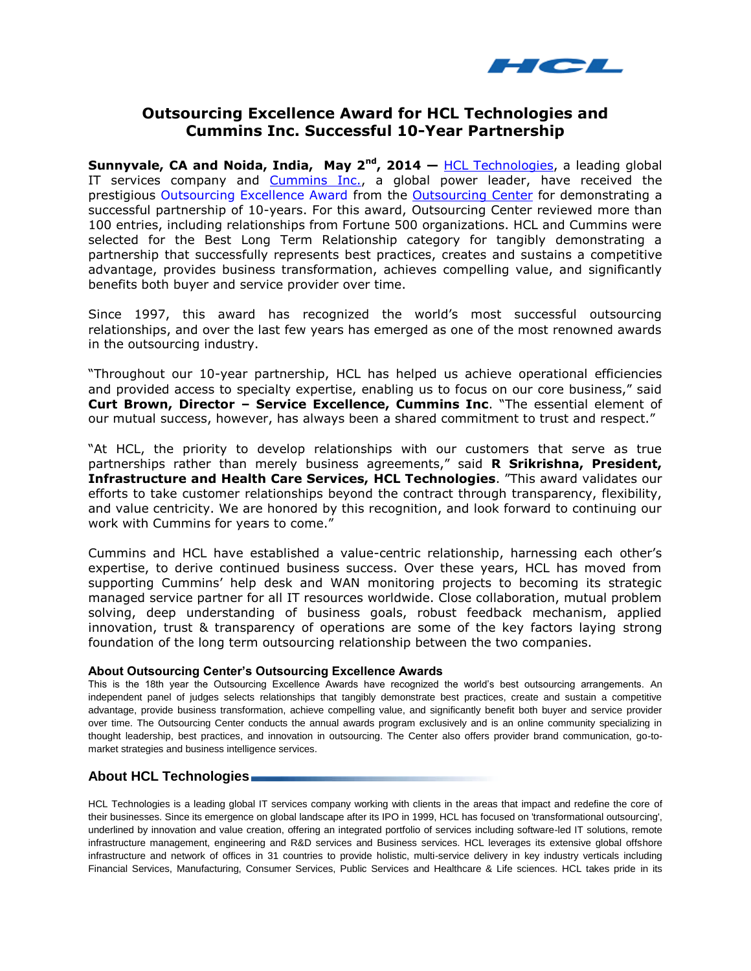

## **Outsourcing Excellence Award for HCL Technologies and Cummins Inc. Successful 10-Year Partnership**

**Sunnyvale, CA and Noida, India, May 2nd, 2014 —** [HCL Technologies,](http://www.hcltech.com/) a leading global IT services company and [Cummins Inc.,](http://www.cummins.com/cmi/index.jsp?siteId=1&langId=1033&newsInfo=true) a global power leader, have received the prestigious [Outsourcing Excellence Award](http://www.outsourcingcenter.com/awards) from the [Outsourcing Center](http://outsourcing-center.com/) for demonstrating a successful partnership of 10-years. For this award, Outsourcing Center reviewed more than 100 entries, including relationships from Fortune 500 organizations. HCL and Cummins were selected for the Best Long Term Relationship category for tangibly demonstrating a partnership that successfully represents best practices, creates and sustains a competitive advantage, provides business transformation, achieves compelling value, and significantly benefits both buyer and service provider over time.

Since 1997, this award has recognized the world's most successful outsourcing relationships, and over the last few years has emerged as one of the most renowned awards in the outsourcing industry.

"Throughout our 10-year partnership, HCL has helped us achieve operational efficiencies and provided access to specialty expertise, enabling us to focus on our core business," said **Curt Brown, Director – Service Excellence, Cummins Inc**. "The essential element of our mutual success, however, has always been a shared commitment to trust and respect."

"At HCL, the priority to develop relationships with our customers that serve as true partnerships rather than merely business agreements," said **R Srikrishna, President, Infrastructure and Health Care Services, HCL Technologies**. "This award validates our efforts to take customer relationships beyond the contract through transparency, flexibility, and value centricity. We are honored by this recognition, and look forward to continuing our work with Cummins for years to come."

Cummins and HCL have established a value-centric relationship, harnessing each other's expertise, to derive continued business success. Over these years, HCL has moved from supporting Cummins' help desk and WAN monitoring projects to becoming its strategic managed service partner for all IT resources worldwide. Close collaboration, mutual problem solving, deep understanding of business goals, robust feedback mechanism, applied innovation, trust & transparency of operations are some of the key factors laying strong foundation of the long term outsourcing relationship between the two companies.

## **About Outsourcing Center's Outsourcing Excellence Awards**

This is the 18th year the Outsourcing Excellence Awards have recognized the world's best outsourcing arrangements. An independent panel of judges selects relationships that tangibly demonstrate best practices, create and sustain a competitive advantage, provide business transformation, achieve compelling value, and significantly benefit both buyer and service provider over time. The Outsourcing Center conducts the annual awards program exclusively and is an online community specializing in thought leadership, best practices, and innovation in outsourcing. The Center also offers provider brand communication, go-tomarket strategies and business intelligence services.

## **About HCL Technologies**

HCL Technologies is a leading global IT services company working with clients in the areas that impact and redefine the core of their businesses. Since its emergence on global landscape after its IPO in 1999, HCL has focused on 'transformational outsourcing', underlined by innovation and value creation, offering an integrated portfolio of services including software-led IT solutions, remote infrastructure management, engineering and R&D services and Business services. HCL leverages its extensive global offshore infrastructure and network of offices in 31 countries to provide holistic, multi-service delivery in key industry verticals including Financial Services, Manufacturing, Consumer Services, Public Services and Healthcare & Life sciences. HCL takes pride in its